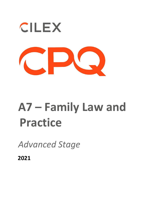

## **A7 – Family Law and Practice**

*Advanced Stage* 

**2021**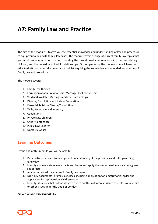## **A7: Family Law and Practice**

The aim of this module is to give you the essential knowledge and understanding of law and procedure to equip you to deal with family law cases. The module covers a range of current family law topics that you would encounter in practice, incorporating the formation of adult relationships, matters relating to children, and the breakdown of adult relationships. On completion of the module, you will have the skills to draft basic court documentation, whilst acquiring the knowledge and extended foundations of family law and procedure.

The module covers:

- 1. Family Law themes
- 2. Formation of adult relationship: Marriage, Civil Partnership
- 3. Void and Voidable Marriages and Civil Partnerships
- 4. Divorce, Dissolution and Judicial Separation
- 5. Financial Relief on Divorce/Dissolution
- 6. Wills, Severance and Intestacy
- 7. Cohabitants
- 8. Private Law Children
- 9. Child Maintenance
- 10. Public Law Children
- 11. Domestic Abuse

## **Learning Outcomes**

By the end of this module you will be able to:

- 1. Demonstrate detailed knowledge and understanding of the principles and rules governing family law
- 2. Identify and evaluate relevant facts and issues and apply the law to provide advice on a given set of facts
- 3. Advise on procedural matters in family law cases
- 4. Draft key documents in family law cases, including application for a matrimonial order and application for a private law children order
- 5. Identify situations that potentially give rise to conflicts of interest, issues of professional ethics or other issues under the Code of Conduct

## *Linked online assessment: A7*

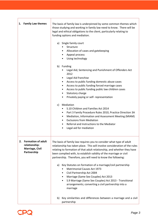| 1. Family Law themes                                                               | The basis of family law is underpinned by some common themes which<br>those studying and working in family law need to know. There will be<br>legal and ethical obligations to the client, particularly relating to<br>funding options and mediation.                                                                                                                                                                                                                                                                                                                                                                                                                                                          |
|------------------------------------------------------------------------------------|----------------------------------------------------------------------------------------------------------------------------------------------------------------------------------------------------------------------------------------------------------------------------------------------------------------------------------------------------------------------------------------------------------------------------------------------------------------------------------------------------------------------------------------------------------------------------------------------------------------------------------------------------------------------------------------------------------------|
|                                                                                    | a) Single family court<br>Structure<br>Allocation of cases and gatekeeping<br>$\bullet$<br>Appeal process<br>$\bullet$<br>Using technology<br>$\bullet$                                                                                                                                                                                                                                                                                                                                                                                                                                                                                                                                                        |
|                                                                                    | b) Funding<br>Legal Aid, Sentencing and Punishment of Offenders Act<br>2012<br>Legal Aid franchise<br>Access to public funding domestic abuse cases<br>$\bullet$<br>Access to public funding forced marriage cases<br>$\bullet$<br>Access to public funding public law children cases<br>$\bullet$<br>Statutory charge<br>$\bullet$<br>Privately paying or self- representation<br>Mediation<br>C)<br>S.10 Children and Families Act 2014<br>Part 3 Family Procedure Rules 2010, Practice Direction 3A<br>$\bullet$<br>Mediation, Information and Assessment Meeting (MIAM)<br>$\bullet$                                                                                                                       |
|                                                                                    | <b>Exclusions from Mediation</b><br>$\bullet$<br>Referral and Instructions to the Mediator<br>$\bullet$<br>Legal aid for mediation<br>٠                                                                                                                                                                                                                                                                                                                                                                                                                                                                                                                                                                        |
| <b>Formation of adult</b><br>2.<br>relationship:<br>Marriage, Civil<br>Partnership | The basis of family law requires you to consider what type of adult<br>relationship has taken place. This will involve consideration of the rules<br>relating to formation of that adult relationship, and whether they have<br>been complied with, to establish validity of the marriage or civil<br>partnership. Therefore, you will need to know the following:<br>Key Statutes on formation of a marriage/civil partnership<br>a)<br><b>Matrimonial Causes Act 1973</b><br>Civil Partnership Act 2004<br>٠<br>Marriage (Same Sex Couples) Act 2013<br>$\bullet$<br>S.9 Marriage (Same Sex Couples) Act 2013 - Transitional<br>$\bullet$<br>arrangements; converting a civil partnership into a<br>marriage |
|                                                                                    | Key similarities and differences between a marriage and a civil<br>b)<br>partnership                                                                                                                                                                                                                                                                                                                                                                                                                                                                                                                                                                                                                           |



 $\mathbf{r}$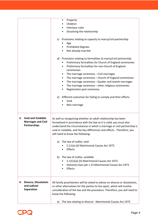|                                                                              |    | Property<br>٠<br>Children<br>Intestacy rules<br>٠<br>Dissolving the relationship                                                                                                                                                                                                                                                                                                                                                                                                                                                                                                  |
|------------------------------------------------------------------------------|----|-----------------------------------------------------------------------------------------------------------------------------------------------------------------------------------------------------------------------------------------------------------------------------------------------------------------------------------------------------------------------------------------------------------------------------------------------------------------------------------------------------------------------------------------------------------------------------------|
|                                                                              | C) | Provisions relating to capacity to marry/civil partnership                                                                                                                                                                                                                                                                                                                                                                                                                                                                                                                        |
|                                                                              |    | Age<br><b>Prohibited Degrees</b><br>Not already married<br>$\bullet$                                                                                                                                                                                                                                                                                                                                                                                                                                                                                                              |
|                                                                              | e) | d) Provisions relating to formalities to marry/civil partnership<br>Preliminary formalities for Church of England ceremonies<br>٠<br>Preliminary formalities for non-Church of England<br>$\bullet$<br>ceremonies<br>The marriage ceremony - Civil marriages<br>٠<br>The marriage ceremony - Church of England ceremonies<br>$\bullet$<br>The marriage ceremony - Quaker and Jewish marriages<br>٠<br>The marriage ceremony - other religious ceremonies<br>٠<br>Registration post ceremony<br>Different outcomes for failing to comply and their effects<br>Void<br>Non-marriage |
| <b>Void and Voidable</b><br>3.<br><b>Marriages and Civil</b><br>Partnerships |    | As well as recognising whether an adult relationship has been<br>formalised in accordance with the law so it is valid, you must also<br>understand the circumstances in which a marriage or civil partnership is<br>void or voidable, and the key differences and effects. Therefore, you                                                                                                                                                                                                                                                                                         |
|                                                                              | a) | will need to know the following:<br>The law of nullity: void<br>S.11(a)-(d) Matrimonial Causes Act 1973<br>Effects                                                                                                                                                                                                                                                                                                                                                                                                                                                                |
|                                                                              |    | b) The law of nullity: voidable<br>S.12(1)(a)-(h) Matrimonial Causes Act 1973<br>Statutory bars per s.13 Matrimonial Causes Act 1973<br>Effects<br>$\bullet$                                                                                                                                                                                                                                                                                                                                                                                                                      |
| <b>Divorce, Dissolution</b><br>4.<br>and Judicial<br>Separation              |    | All family practitioners will be asked to advise on divorce or dissolution,<br>or other alternatives for the parties to live apart, which will involve<br>consideration of the law and the procedure. Therefore, you will need to<br>know the following:                                                                                                                                                                                                                                                                                                                          |
|                                                                              | a) | The law relating to divorce - Matrimonial Causes Act 1973                                                                                                                                                                                                                                                                                                                                                                                                                                                                                                                         |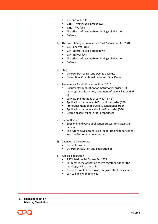|                                                      | S.3: one year rule<br>٠<br>S.1(1): irretrievable breakdown<br>$S.1(2)$ : five facts<br>٠<br>The effects of resumed/continuing cohabitation<br>٠<br>Defences<br>$\bullet$                                                                                                                                                                                                                                                                                  |
|------------------------------------------------------|-----------------------------------------------------------------------------------------------------------------------------------------------------------------------------------------------------------------------------------------------------------------------------------------------------------------------------------------------------------------------------------------------------------------------------------------------------------|
|                                                      | The law relating to dissolution - Civil Partnership Act 2004<br>b)<br>S.41: one year rule<br>٠<br>S.44(1): irretrievable breakdown<br>٠<br>$S.44(5)$ : four facts<br>٠<br>The effects of resumed/continuing cohabitation<br>Defences<br>$\bullet$                                                                                                                                                                                                         |
|                                                      | c)<br>Stages<br>Divorce: Decree nisi and Decree absolute<br>Dissolution: Conditional order and Final Order                                                                                                                                                                                                                                                                                                                                                |
|                                                      | Procedure - Family Procedure Rules 2010<br>d)<br>Documents: application for matrimonial order (D8),<br>٠<br>marriage certificate, fee, statement of reconciliation (FPR<br>7)<br>Service, and methods of service (FPR 6)<br>٠<br>Application for decree nisi/conditional order (D80)<br>٠<br>Pronouncement of decree nisi/conditional order<br>٠<br>Application for decree absolute/final order (D36)<br>٠<br>Decree absolute/final order pronounced<br>٠ |
|                                                      | <b>Digital Divorce</b><br>e)<br>2018 online divorce application process for litigants in<br>٠<br>person<br>The future developments e.g. separate online service for<br>legal professionals - being tested                                                                                                                                                                                                                                                 |
|                                                      | Changes to Divorce Law<br>f<br>No fault divorce<br>Divorce, Dissolution and Separation Bill                                                                                                                                                                                                                                                                                                                                                               |
|                                                      | <b>Judicial Separation</b><br>g)<br>S.17 Matrimonial Causes Act 1973<br>Terminates the obligation to live together but not the<br>٠<br>marriage/civil partnership<br>No irretrievable breakdown, but just establishing a fact<br>٠<br>Can still deal with finances                                                                                                                                                                                        |
| 5. Financial Relief on<br><b>Divorce/Dissolution</b> |                                                                                                                                                                                                                                                                                                                                                                                                                                                           |

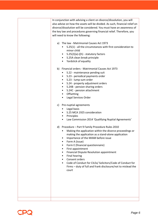| In conjunction with advising a client on divorce/dissolution, you will<br>also advise on how the assets will be divided. As such, financial relief on<br>divorce/dissolution will be considered. You must have an awareness of<br>the key law and procedures governing financial relief. Therefore, you<br>will need to know the following:<br>The law - Matrimonial Causes Act 1973<br>a)<br>S.25(1) - all the circumstances with first consideration to                                                             |
|-----------------------------------------------------------------------------------------------------------------------------------------------------------------------------------------------------------------------------------------------------------------------------------------------------------------------------------------------------------------------------------------------------------------------------------------------------------------------------------------------------------------------|
| minor child<br>$S.25(2)(a)-(h)$ - statutory factors<br>$\bullet$<br>S.25A clean break principle<br>$\bullet$<br>Yardstick of equality<br>٠                                                                                                                                                                                                                                                                                                                                                                            |
| Financial orders - Matrimonial Causes Act 1973<br>b)<br>S.22 - maintenance pending suit<br>S.23 - periodical payments order<br>٠<br>S.23 - lump sum order<br>$\bullet$<br>S.24 - property adjustment orders<br>S.24B - pension sharing orders<br>٠<br>S.24C - pension attachment<br>Offsetting<br>٠<br>Legal Services Order                                                                                                                                                                                           |
| Pre-nuptial agreements<br>c)<br>Legal basis<br>S.25 MCA 1925 consideration<br>Principles<br>٠<br>Law Commission 2014 'Qualifying Nuptial Agreements'<br>$\bullet$                                                                                                                                                                                                                                                                                                                                                     |
| Procedure - Part 9 Family Procedure Rules 2010<br>d)<br>Making the application within the divorce proceedings or<br>making the application as a stand-alone application<br>Importance of the MIAM before issue<br>Form A (issue)<br>Form E (financial questionnaire)<br>First appointment<br>Financial Dispute Resolution appointment<br><b>Final hearing</b><br>Consent orders<br>Code of Conduct for CILEx/ Solicitors/Code of Conduct for<br>Firms - duty of full and frank disclosure/not to mislead the<br>court |
|                                                                                                                                                                                                                                                                                                                                                                                                                                                                                                                       |

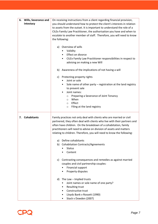| <b>Wills, Severance and</b><br>6.<br>Intestacy | On receiving instructions from a client regarding financial provision,<br>you should understand how to protect the client's interests in relation<br>to assets from the outset. It is important to understand the role of a<br>CILEx Family Law Practitioner, the authorisation you have and when to<br>escalate to another member of staff. Therefore, you will need to know<br>the following: |
|------------------------------------------------|-------------------------------------------------------------------------------------------------------------------------------------------------------------------------------------------------------------------------------------------------------------------------------------------------------------------------------------------------------------------------------------------------|
|                                                | Overview of wills<br>a)<br>Validity<br>Effect on divorce<br>CILEx Family Law Practitioner responsibilities in respect to<br>$\bullet$<br>advising on making a new Will                                                                                                                                                                                                                          |
|                                                | b) Awareness of the implications of not having a will                                                                                                                                                                                                                                                                                                                                           |
|                                                | c) Protecting property rights<br>Joint or sole                                                                                                                                                                                                                                                                                                                                                  |
|                                                | Sole name of other party - registration at the land registry<br>٠<br>to prevent sale<br>Joint names:<br>$\bullet$                                                                                                                                                                                                                                                                               |
|                                                | Preparing a Severance of Joint Tenancy<br>$\circ$<br>When<br>$\circ$<br>Effect<br>$\circ$<br>Filing at the land registry<br>O                                                                                                                                                                                                                                                                   |
| 7. Cohabitants                                 | Family practices not only deal with clients who are married or civil<br>partnered, they often deal with clients who live with their partners and<br>often have children. On the breakdown of a cohabitation, family<br>practitioners will need to advise on division of assets and matters<br>relating to children. Therefore, you will need to know the following:                             |
|                                                | a) Define cohabitants                                                                                                                                                                                                                                                                                                                                                                           |
|                                                | b) Cohabitation Contracts/Agreements<br><b>Status</b>                                                                                                                                                                                                                                                                                                                                           |
|                                                | Content                                                                                                                                                                                                                                                                                                                                                                                         |
|                                                | c) Contrasting consequences and remedies as against married<br>couples and civil partnership couples:<br>Financial support<br>Property disputes                                                                                                                                                                                                                                                 |
|                                                | d) The Law - Implied trusts<br>Joint names or sole name of one party?<br><b>Resulting trust</b><br>Constructive trust<br>Lloyds Bank v Rossett (1990)<br>Stack v Dowden (2007)                                                                                                                                                                                                                  |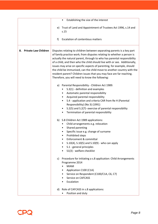|                                   | Establishing the size of the interest<br>٠                                                                                                                                                                                                                                                                                                                                                                                                                                                                                                                                              |
|-----------------------------------|-----------------------------------------------------------------------------------------------------------------------------------------------------------------------------------------------------------------------------------------------------------------------------------------------------------------------------------------------------------------------------------------------------------------------------------------------------------------------------------------------------------------------------------------------------------------------------------------|
|                                   | e) Trust of Land and Appointment of Trustees Act 1996, s.14 and<br>s.15                                                                                                                                                                                                                                                                                                                                                                                                                                                                                                                 |
|                                   | <b>Escalation of contentious matters</b><br>f)                                                                                                                                                                                                                                                                                                                                                                                                                                                                                                                                          |
| <b>Private Law Children</b><br>8. | Disputes relating to children between separating parents is a key part<br>of family practice work; from disputes relating to whether a person is<br>actually the natural parent, through to who has parental responsibility<br>of a child, and then who the child should live with or see. Additionally,<br>issues may arise on specific aspects of parenting, for example, should<br>the child be immunised, can the child move to another country with the<br>resident parent? Children issues that you may face are far reaching.<br>Therefore, you will need to know the following: |
|                                   | a) Parental Responsibility - Children Act 1989:<br>S.3(1) - definition and examples<br>Automatic parental responsibility<br>$\bullet$<br>Acquired parental responsibility<br>$\bullet$<br>S.4 - application and criteria CAR from Re H (Parental<br>Responsibility) (No 3) (1991)<br>S.2(5) and S.2(7)- exercise of parental responsibility<br>Termination of parental responsibility                                                                                                                                                                                                   |
|                                   | b) S.8 Children Act 1989 applications:<br>Child arrangements e.g. relocation<br>Shared parenting<br>$\bullet$<br>Specific issue e.g. change of surname<br><b>Prohibited steps</b><br>Enforcement & committal<br>٠<br>S.10(4), S.10(5) and S.10(9) - who can apply<br>٠<br>S.1 - general principles<br>S1(3) - welfare checklist                                                                                                                                                                                                                                                         |
|                                   | c) Procedure for initiating a s.8 application: Child Arrangements<br>Programme 2014<br><b>MIAM</b><br>Application C100 (C1A)<br>Service on Respondent (C100/C1A, C6, C7)<br>Service on CAFCASS<br>Escalation                                                                                                                                                                                                                                                                                                                                                                            |
|                                   | d) Role of CAFCASS in s.8 applications:<br>Position and duty                                                                                                                                                                                                                                                                                                                                                                                                                                                                                                                            |

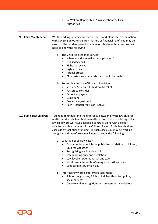|                                | S7 Welfare Reports & s37 Investigations by Local<br>Authorities                                                                                                                                                                                                                                                                                                                                                                                                                                                                                                                                                                                                                                                                                                                                                                                                                                                                                                                                       |
|--------------------------------|-------------------------------------------------------------------------------------------------------------------------------------------------------------------------------------------------------------------------------------------------------------------------------------------------------------------------------------------------------------------------------------------------------------------------------------------------------------------------------------------------------------------------------------------------------------------------------------------------------------------------------------------------------------------------------------------------------------------------------------------------------------------------------------------------------------------------------------------------------------------------------------------------------------------------------------------------------------------------------------------------------|
| <b>Child Maintenance</b><br>9. | Whilst working in family practice, either stand-alone, or in conjunction<br>with advising on other children matters or financial relief, you may be<br>asked by the resident parent to advise on child maintenance. You will<br>need to know the following:<br>The Child Maintenance Service<br>a)<br>When would you make the application?<br>Qualifying child<br>$\bullet$<br>Rights to receive<br>$\bullet$<br>Rights to pay<br>٠<br>Appeal process<br>Circumstances where referrals should be made<br>b) Top-up Maintenance/Financial Provision<br>s.15 and Schedule 1 Children Act 1989<br>Factors to consider<br>٠<br>Periodical payments<br>$\bullet$<br>Lump sum<br>٠<br>Property adjustment<br>$\bullet$<br>Re P (Financial Provision) (2003)                                                                                                                                                                                                                                                 |
| 10. Public Law Children        | You need to understand the difference between private law children<br>matters and public law children matters. Practices undertaking public<br>law child work will have a legal aid contract, along with a senior<br>solicitor who is a member of the Children Panel. Public law children<br>cases do attract public funding. In such cases, you may be working<br>alongside and therefore you will need to know the following:<br>What is a public law case?<br>a)<br>Fundamental principles of public law in relation to children;<br>Children Act 1989<br>Recognising a vulnerable child<br>٠<br>Safeguarding duty and escalation<br>$\bullet$<br>Low level intervention, s.17 and s.20<br>$\bullet$<br>Short term intervention/emergency, s.44 and s.46<br>$\bullet$<br>Long term intervention s.31<br>b) Inter-agency working/referral/assessment<br>School, neighbours, GP, hospital, health visitor, police,<br>social services<br>Overview of investigations and assessments carried out<br>٠ |